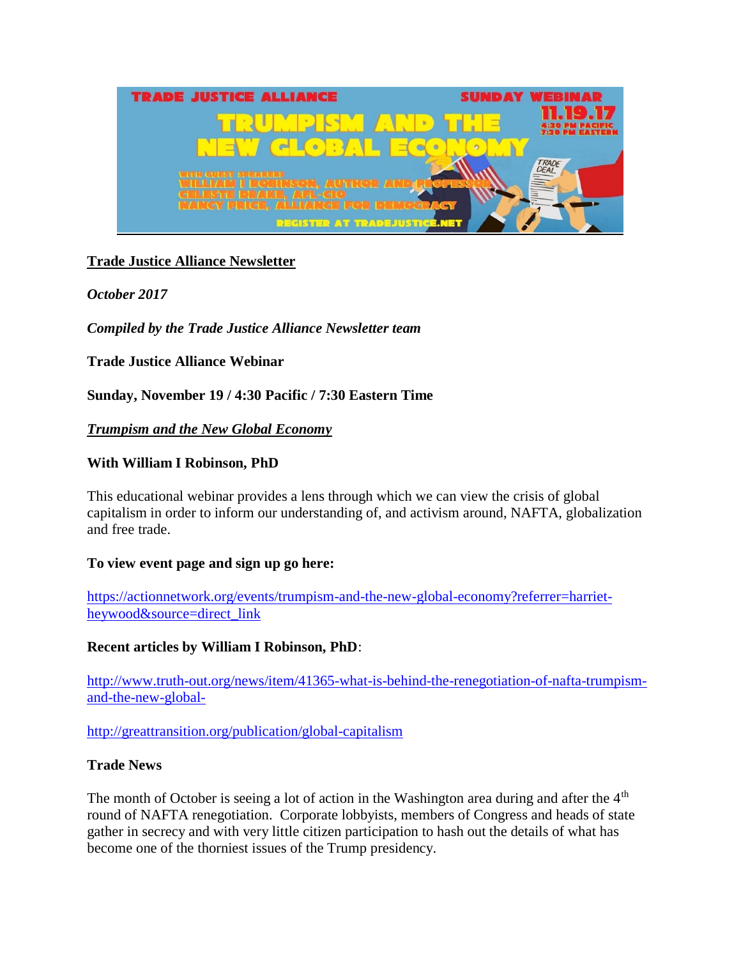

# **Trade Justice Alliance Newsletter**

*October 2017*

*Compiled by the Trade Justice Alliance Newsletter team*

**Trade Justice Alliance Webinar**

**Sunday, November 19 / 4:30 Pacific / 7:30 Eastern Time**

### *Trumpism and the New Global Economy*

## **With William I Robinson, PhD**

This educational webinar provides a lens through which we can view the crisis of global capitalism in order to inform our understanding of, and activism around, NAFTA, globalization and free trade.

### **To view event page and sign up go here:**

[https://actionnetwork.org/events/trumpism-and-the-new-global-economy?referrer=harriet](http://click.actionnetwork.org/mpss/c/FQE/kLwXAA/t.2bu/NmyXBuulRqyGCg_wExk59A/h0/WQ-2BlIwq7W2eCmkkcwbDiBbbPwUfyzAVeutdE2lG-2FrPdPfPbZZHQ9Fh8Pl-2B8yxVh1Ug-2FlaKwIWH0sfcmzdWFvBEyoqy8vDMgnqKVggV-2FiklkduO96qVZmpuZySsdnqot5h6AwEcUXfOyzVrwQSEiCVyZHLhAuBpsEoUWlp2nK4igEsTv20I703AgeBmvmlRlR80KTyy1svfD2l3ZWaZ5EmFa0zC-2FLvzgYPfrcaFQp65joN-2FBmCYlMae2laq5I4HTgs2K89u0wWbu7JJI1m-2FXJw22Xcj2MSEBd9Bc19vT1SqHx2WlIt1O5ym4OWtUkDCUm)[heywood&source=direct\\_link](http://click.actionnetwork.org/mpss/c/FQE/kLwXAA/t.2bu/NmyXBuulRqyGCg_wExk59A/h0/WQ-2BlIwq7W2eCmkkcwbDiBbbPwUfyzAVeutdE2lG-2FrPdPfPbZZHQ9Fh8Pl-2B8yxVh1Ug-2FlaKwIWH0sfcmzdWFvBEyoqy8vDMgnqKVggV-2FiklkduO96qVZmpuZySsdnqot5h6AwEcUXfOyzVrwQSEiCVyZHLhAuBpsEoUWlp2nK4igEsTv20I703AgeBmvmlRlR80KTyy1svfD2l3ZWaZ5EmFa0zC-2FLvzgYPfrcaFQp65joN-2FBmCYlMae2laq5I4HTgs2K89u0wWbu7JJI1m-2FXJw22Xcj2MSEBd9Bc19vT1SqHx2WlIt1O5ym4OWtUkDCUm)

### **Recent articles by William I Robinson, PhD**:

[http://www.truth-out.org/news/item/41365-what-is-behind-the-renegotiation-of-nafta-trumpism](http://click.actionnetwork.org/mpss/c/FQE/kLwXAA/t.2bu/NmyXBuulRqyGCg_wExk59A/h1/YRJ5KzIvngffxjEd-2BDGBhARxndbNRrp5lTAWCBSIjr0t5Xm-2FHq-2F96LuK-2B2-2FhOOsqyWLH4kOsXLarqkNU8TwDXHRZD52-2BgKImmHV9JkpGZHSP-2BcEGHLh8gzb1iSYDlJv9DyQEtSsZPFT9tVH2WcMox-2BG4N3z-2BkEoEe3JdFBznBsbL52onZ5LQDJq06MGHIgo0-2B2pvMByIdXqRSsEyqW7Q08RLsblDKCqWM1fjRFIOglaqm2Is8riK8coZ6t2Uv5cBZJLfMhY3DyqOLe63JVeeFI9i4FEFnApQouKdvUZ7-2BVQT8Ki-2FeuBX9wRzCzK1-2FtihShu81Mmy-2BGKj5pPbqWMBWcsxFyP-2FkCwdsKQNxrf-2FEI8dsZYTXGlPniBFExT5v12LD-2BVaPwe5X079tMn-2Fsr9jvlOjEj1Z1wHKzUy-2Fd86FbRk-3D)[and-the-new-global-](http://click.actionnetwork.org/mpss/c/FQE/kLwXAA/t.2bu/NmyXBuulRqyGCg_wExk59A/h1/YRJ5KzIvngffxjEd-2BDGBhARxndbNRrp5lTAWCBSIjr0t5Xm-2FHq-2F96LuK-2B2-2FhOOsqyWLH4kOsXLarqkNU8TwDXHRZD52-2BgKImmHV9JkpGZHSP-2BcEGHLh8gzb1iSYDlJv9DyQEtSsZPFT9tVH2WcMox-2BG4N3z-2BkEoEe3JdFBznBsbL52onZ5LQDJq06MGHIgo0-2B2pvMByIdXqRSsEyqW7Q08RLsblDKCqWM1fjRFIOglaqm2Is8riK8coZ6t2Uv5cBZJLfMhY3DyqOLe63JVeeFI9i4FEFnApQouKdvUZ7-2BVQT8Ki-2FeuBX9wRzCzK1-2FtihShu81Mmy-2BGKj5pPbqWMBWcsxFyP-2FkCwdsKQNxrf-2FEI8dsZYTXGlPniBFExT5v12LD-2BVaPwe5X079tMn-2Fsr9jvlOjEj1Z1wHKzUy-2Fd86FbRk-3D)

[http://greattransition.org/publication/global-capitalism](http://click.actionnetwork.org/mpss/c/FQE/kLwXAA/t.2bu/NmyXBuulRqyGCg_wExk59A/h2/vin8H27fWCwrhUhxAuqMWpRHClj8J4lekXsoiIJdK2S5DtAPeX8-2F9hR4xQVLh6IZW6cg3QQs-2FXqcl6OApo2OYGq8IBmqHfaPzCNvjZjKlbQIFKY1z1HXop9cm5o7JQmAIb4PGvO3ukO4-2B24InxWRbkE6zXctA30JKDtr7kGdttTvfkhAxlWaYFlJKlhRX8-2BJ2gn1IbaSuIRbmi0jxwttY9Fao2cjtI1tGh-2Fh1exuWVPUGsEOC3FKI6JxvHBQ-2FNAUzNGD-2Bz8PcIpdGzxct1acjvOGWJRlQRpspbQ3C40zPFwQE74n9vzXhRERnRY6W92LEZn20PRgv7JpZgHuf2O4Gg-3D-3D)

### **Trade News**

The month of October is seeing a lot of action in the Washington area during and after the  $4<sup>th</sup>$ round of NAFTA renegotiation. Corporate lobbyists, members of Congress and heads of state gather in secrecy and with very little citizen participation to hash out the details of what has become one of the thorniest issues of the Trump presidency.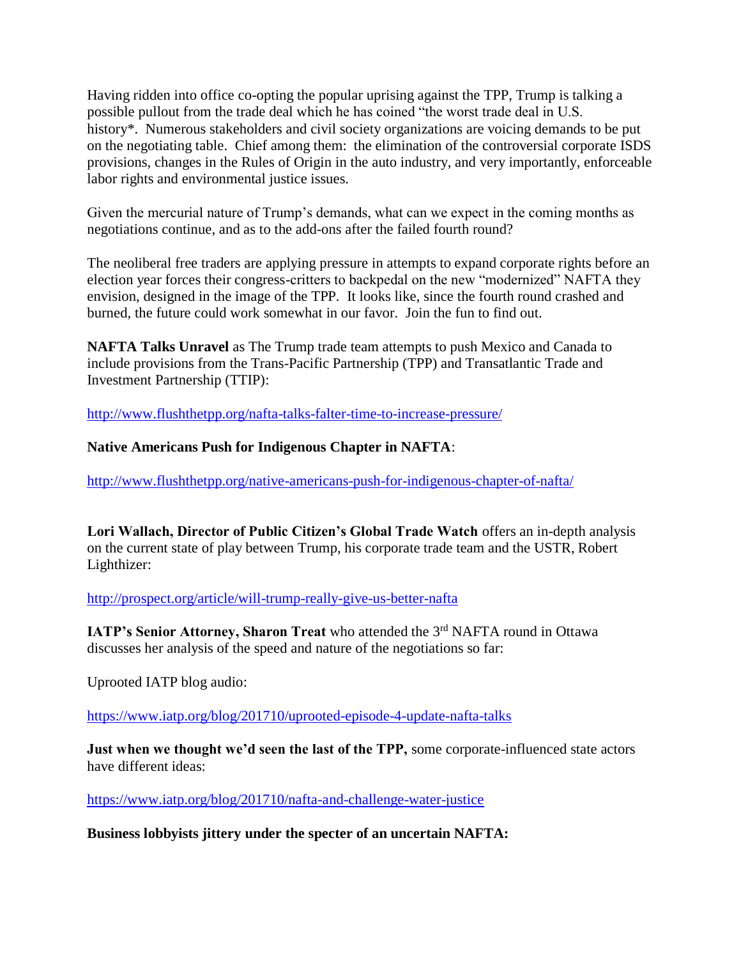Having ridden into office co-opting the popular uprising against the TPP, Trump is talking a possible pullout from the trade deal which he has coined "the worst trade deal in U.S. history<sup>\*</sup>. Numerous stakeholders and civil society organizations are voicing demands to be put on the negotiating table. Chief among them: the elimination of the controversial corporate ISDS provisions, changes in the Rules of Origin in the auto industry, and very importantly, enforceable labor rights and environmental justice issues.

Given the mercurial nature of Trump's demands, what can we expect in the coming months as negotiations continue, and as to the add-ons after the failed fourth round?

The neoliberal free traders are applying pressure in attempts to expand corporate rights before an election year forces their congress-critters to backpedal on the new "modernized" NAFTA they envision, designed in the image of the TPP. It looks like, since the fourth round crashed and burned, the future could work somewhat in our favor. Join the fun to find out.

**NAFTA Talks Unravel** as The Trump trade team attempts to push Mexico and Canada to include provisions from the Trans-Pacific Partnership (TPP) and Transatlantic Trade and Investment Partnership (TTIP):

[http://www.flushthetpp.org/nafta-talks-falter-time-to-increase-pressure/](http://click.actionnetwork.org/mpss/c/FQE/kLwXAA/t.2bu/NmyXBuulRqyGCg_wExk59A/h3/-2Be1fWl7gzTZ7ryhlOjBOuyyKlZINuUPoIbdpV6JcPtvrNF-2Fcmb8L1VUgJ6qcmRu8JVL206HRUJrcHFgILoNaTiUqdAfLsP0ujhY1gKGcoLPQTaKWebrfe2a6tvYve-2F8JJaeJ4OfeSHqX3Z7pKbTwo8-2F15UtwFQ0VHm-2FuLPZNpXUKPndbvtDEQwjn7j6r3vyHAVXjrti3ISnoRuj77sagBCLwnDu2CbxTDK-2BXOJPIHgdamGYp5JK08csQiw31xoS-2BCoEQjvy4d-2FtD8r584jEIUGtxkbPOsD2QGHbVOnO7d3oNLNmqMFbSmuG3sNeyrlqP7vRY5qk0-2BMkRVaSsX-2BKqsnjZEo3kugUyWJcyQOmn9QA-3D)

## **Native Americans Push for Indigenous Chapter in NAFTA**:

[http://www.flushthetpp.org/native-americans-push-for-indigenous-chapter-of-nafta/](http://click.actionnetwork.org/mpss/c/FQE/kLwXAA/t.2bu/NmyXBuulRqyGCg_wExk59A/h4/-2Be1fWl7gzTZ7ryhlOjBOu0hzFX12OXcuJ8YewW7YA-2B79SWWOREAg2VDEKToYTnY9gLe1XpOjQGVk4Z2ZzhxEKCnRapJJPct1dRgq-2FxptmTRT2qjIWox-2FkJM4BQaxNRDzK3NmMEd2-2FnGrpHC2mnHeFtMUizjpeSix58SfEBUjrhq474S-2FSajvEfTbKodCohx-2BlJJBiV-2BugRo9t3MBop2Acs-2F6mvcvrny-2FbnggX25sxP8WTdWHrh-2FHEx-2BvymSnKX6QHQmlrPk-2BbYGt-2BhNfkM8ry0xyLP4iIv1YnpWg15BGymjMJiLwYbleSJ-2BUQ4kHJiZhttxTdcvjmg3bIjoBRHMR5GWlJHCvG-2BqDUIRx-2BtMFeHI-3D)

**Lori Wallach, Director of Public Citizen's Global Trade Watch** offers an in-depth analysis on the current state of play between Trump, his corporate trade team and the USTR, Robert Lighthizer:

[http://prospect.org/article/will-trump-really-give-us-better-nafta](http://click.actionnetwork.org/mpss/c/FQE/kLwXAA/t.2bu/NmyXBuulRqyGCg_wExk59A/h6/KRjI6sTRmFzeZar5VOFd6l3F95g2BFQycFJDila0YeRB-2F-2F4K7W-2F7-2BozMeiask7xHZ9GO42av8AFuilWoDnR1lEdVyorKOsUjKaramsfVDb-2BRwU3Qtu3doU-2B9k9NGingOlulVpYU-2BSULM79sOpG8MgIBlRcv5f7m6JrBQ8vczax5ljhZnQ5EVGrBG7dGCe7mLYnO6oja1WVN-2FoBi4MKnhjCMSrhz-2FNeK67Ox2XDX1cLWbab41WZ3P8DOWNHkddOC5yL6ctbaEZN6wc2CawM5DWApjG6-2FlIsREV8lfzUyyVNTySqXwdTlr2O-2BQggGXVbGPKVXNutarwcmtQrQVGMTJ-2Fg-3D-3D)

**IATP's Senior Attorney, Sharon Treat** who attended the 3<sup>rd</sup> NAFTA round in Ottawa discusses her analysis of the speed and nature of the negotiations so far:

Uprooted IATP blog audio:

[https://www.iatp.org/blog/201710/uprooted-episode-4-update-nafta-talks](http://click.actionnetwork.org/mpss/c/FQE/kLwXAA/t.2bu/NmyXBuulRqyGCg_wExk59A/h7/cW6XynlV-2BrowXqlCtSzet69PQL15-2FrsE6CGij7nefkfQcMxr26Y92WQ1uMgn1FGZNyWAAtILJKUN0XFdpS-2FS-2FCLUREGaSfLeurzTVIXed8U2jkWT7zMDUFpbuh0sGOnnRKOk7LalDk-2F-2FPwocYVIpA7D-2Fi5qZCgVjAILcW528cWdnTpQ4iIesdmml8snr9mmAljMFNRIYiL-2FyOC3r6ONri7zfJUzq5IzIUYqPuNq77WrnMaCuhlkd-2Fc1LM8AYUIJBVF-2F2qxf65n4KfeFD9wSwtt95YVVkvguWD6HDn2Br3sHqSc7kFS09iHUZqpZq5rQS89AinjOlAcvupFTZHLUhM5uE6aT4WwjGRyzpYREXyVM-3D)

**Just when we thought we'd seen the last of the TPP,** some corporate-influenced state actors have different ideas:

[https://www.iatp.org/blog/201710/nafta-and-challenge-water-justice](http://click.actionnetwork.org/mpss/c/FQE/kLwXAA/t.2bu/NmyXBuulRqyGCg_wExk59A/h9/cW6XynlV-2BrowXqlCtSzet69PQL15-2FrsE6CGij7nefkfYProAOiLSBYuUdxef9t-2FzM9-2FTPupgZIHP-2Bl5bCE5RdiKhpro27TZuUwByAjb7-2Fucbw5Talk9B4G6n0Pt4tb7zg3ixLvgRxb6C-2Bx1krSJtvB1wQol14ooxuRxaxvBSdV6QxjoQf8I-2BSYAQwFhOEvcKdpoTpTMYDsIKX3SHun7qClbuJHWfYgjiWS9xv7BrFqrU4hTqVKPSDgw93CuqoNGqgEViUMp3zvQEyEMP5Q10GGCkMZjWCHUKqKL0Kx2WWG2Nfd2MTAwUPseKEhIhGfA6QMq7dEoHIq7jdfOJopu6Gg-3D-3D)

**Business lobbyists jittery under the specter of an uncertain NAFTA:**